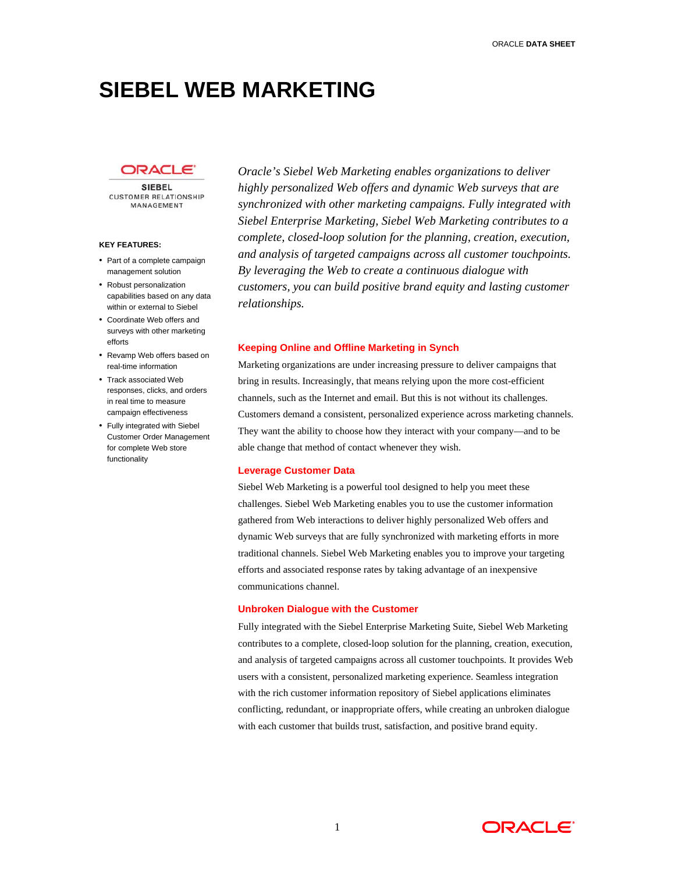# **SIEBEL WEB MARKETING**

## DRACL

**SIEBEL CUSTOMER RELATIONSHIP** MANAGEMENT

#### **KEY FEATURES:**

- Part of a complete campaign management solution
- Robust personalization capabilities based on any data within or external to Siebel
- Coordinate Web offers and surveys with other marketing
- 
- Track associated Web responses, clicks, and orders in real time to measure campaign effectiveness
- Fully integrated with Siebel Customer Order Management for complete Web store functionality

*Oracle's Siebel Web Marketing enables organizations to deliver highly personalized Web offers and dynamic Web surveys that are synchronized with other marketing campaigns. Fully integrated with Siebel Enterprise Marketing, Siebel Web Marketing contributes to a complete, closed-loop solution for the planning, creation, execution, and analysis of targeted campaigns across all customer touchpoints. By leveraging the Web to create a continuous dialogue with customers, you can build positive brand equity and lasting customer relationships.* 

# efforts **Keeping Online and Offline Marketing in Synch** • Revamp Web offers based on

real-time information Marketing organizations are under increasing pressure to deliver campaigns that bring in results. Increasingly, that means relying upon the more cost-efficient channels, such as the Internet and email. But this is not without its challenges. Customers demand a consistent, personalized experience across marketing channels. They want the ability to choose how they interact with your company—and to be able change that method of contact whenever they wish.

#### **Leverage Customer Data**

Siebel Web Marketing is a powerful tool designed to help you meet these challenges. Siebel Web Marketing enables you to use the customer information gathered from Web interactions to deliver highly personalized Web offers and dynamic Web surveys that are fully synchronized with marketing efforts in more traditional channels. Siebel Web Marketing enables you to improve your targeting efforts and associated response rates by taking advantage of an inexpensive communications channel.

#### **Unbroken Dialogue with the Customer**

Fully integrated with the Siebel Enterprise Marketing Suite, Siebel Web Marketing contributes to a complete, closed-loop solution for the planning, creation, execution, and analysis of targeted campaigns across all customer touchpoints. It provides Web users with a consistent, personalized marketing experience. Seamless integration with the rich customer information repository of Siebel applications eliminates conflicting, redundant, or inappropriate offers, while creating an unbroken dialogue with each customer that builds trust, satisfaction, and positive brand equity.